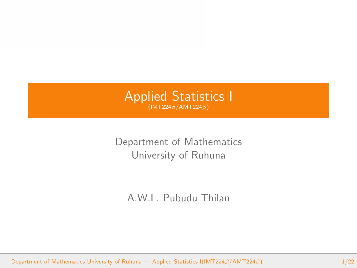

Department of Mathematics University of Ruhuna

A.W.L. Pubudu Thilan

Department of Mathematics University of Ruhuna — Applied Statistics I(IMT224*β*/AMT224*β*) 1/22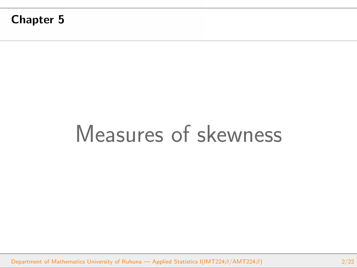**Chapter 5**

# Measures of skewness

Department of Mathematics University of Ruhuna — Applied Statistics I(IMT224*β*/AMT224*β*) 2/22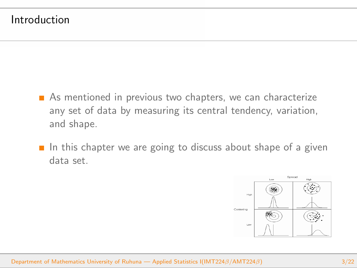- As mentioned in previous two chapters, we can characterize any set of data by measuring its central tendency, variation, and shape.
- In this chapter we are going to discuss about shape of a given data set.

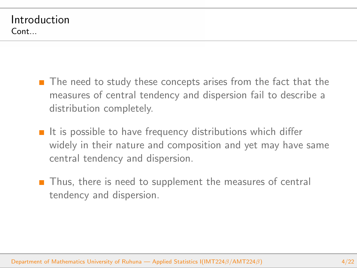- $\blacksquare$  The need to study these concepts arises from the fact that the measures of central tendency and dispersion fail to describe a distribution completely.
- $\blacksquare$  It is possible to have frequency distributions which differ widely in their nature and composition and yet may have same central tendency and dispersion.
- Thus, there is need to supplement the measures of central tendency and dispersion.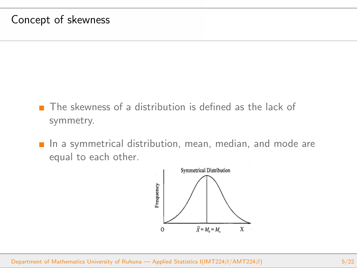#### Concept of skewness

- The skewness of a distribution is defined as the lack of symmetry.
- $\blacksquare$  In a symmetrical distribution, mean, median, and mode are equal to each other.

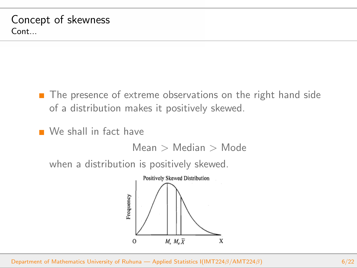- **The presence of extreme observations on the right hand side** of a distribution makes it positively skewed.
- We shall in fact have

Mean *>* Median *>* Mode

when a distribution is positively skewed.

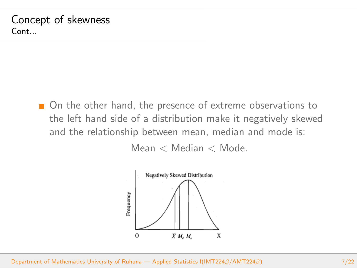■ On the other hand, the presence of extreme observations to the left hand side of a distribution make it negatively skewed and the relationship between mean, median and mode is:

Mean *<* Median *<* Mode.

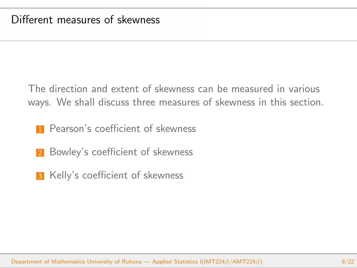The direction and extent of skewness can be measured in various ways. We shall discuss three measures of skewness in this section.

- **1** Pearson's coefficient of skewness
- 2 Bowley's coefficient of skewness
- **3** Kelly's coefficient of skewness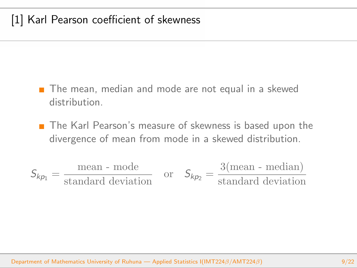## [1] Karl Pearson coefficient of skewness

- The mean, median and mode are not equal in a skewed distribution.
- The Karl Pearson's measure of skewness is based upon the divergence of mean from mode in a skewed distribution.

$$
S_{kp_1} = \frac{\text{mean - mode}}{\text{standard deviation}} \quad \text{or} \quad S_{kp_2} = \frac{3(\text{mean - median})}{\text{standard deviation}}
$$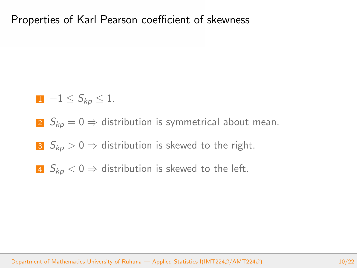### Properties of Karl Pearson coefficient of skewness

$$
1\ \ -1\leq S_{kp}\leq 1.
$$

- 2  $S_{kp} = 0 \Rightarrow$  distribution is symmetrical about mean.
- 3  $S_{kn} > 0 \Rightarrow$  distribution is skewed to the right.
- **4**  $S_{kp}$  < 0 ⇒ distribution is skewed to the left.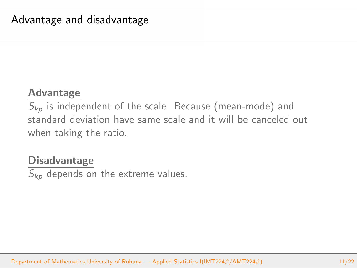### **Advantage**

*Skp* is independent of the scale. Because (mean-mode) and standard deviation have same scale and it will be canceled out when taking the ratio.

#### **Disadvantage**

 $\overline{S_{kn}}$  depends on the extreme values.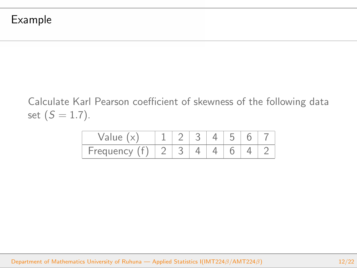Calculate Karl Pearson coefficient of skewness of the following data set  $(S = 1.7)$ .

| Value     |  |  |  |  |
|-----------|--|--|--|--|
| Frequency |  |  |  |  |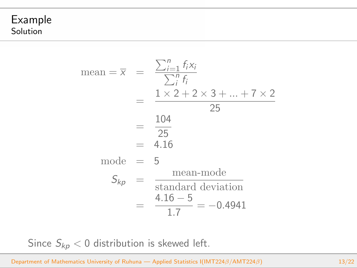#### Example Solution

mean = 
$$
\overline{x}
$$
 =  $\frac{\sum_{i=1}^{n} f_i x_i}{\sum_{i}^{n} f_i}$   
\n=  $\frac{1 \times 2 + 2 \times 3 + \dots + 7 \times 2}{25}$   
\n=  $\frac{104}{25}$   
\n= 4.16  
\nmode = 5  
\n $S_{kp}$  =  $\frac{\text{mean-mode}}{\text{standard deviation}}$   
\n=  $\frac{4.16 - 5}{1.7} = -0.4941$ 

Since  $S_{kp}$  < 0 distribution is skewed left.

Department of Mathematics University of Ruhuna — Applied Statistics I(IMT224*β*/AMT224*β*) 13/22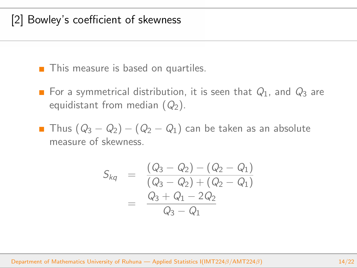## [2] Bowley's coefficient of skewness

**This measure is based on quartiles.** 

- For a symmetrical distribution, it is seen that  $Q_1$ , and  $Q_3$  are equidistant from median (*Q*2).
- Thus (*Q*<sup>3</sup> *− Q*2) *−* (*Q*<sup>2</sup> *− Q*1) can be taken as an absolute measure of skewness.

$$
S_{kq} = \frac{(Q_3 - Q_2) - (Q_2 - Q_1)}{(Q_3 - Q_2) + (Q_2 - Q_1)}
$$
  
= 
$$
\frac{Q_3 + Q_1 - 2Q_2}{Q_3 - Q_1}
$$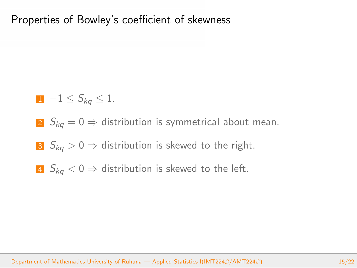#### Properties of Bowley's coefficient of skewness

$$
1 \quad -1 \leq S_{kq} \leq 1.
$$

- 2  $S_{ka} = 0 \Rightarrow$  distribution is symmetrical about mean.
- 3  $S_{kq} > 0 \Rightarrow$  distribution is skewed to the right.
- **4**  $S_{ka}$  < 0 ⇒ distribution is skewed to the left.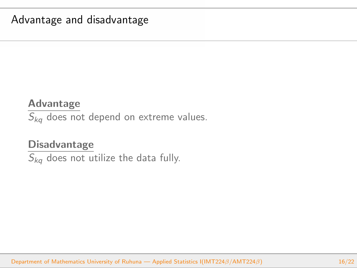### Advantage and disadvantage

#### **Advantage**

*Skq* does not depend on extreme values.

#### **Disadvantage**

*Skq* does not utilize the data fully.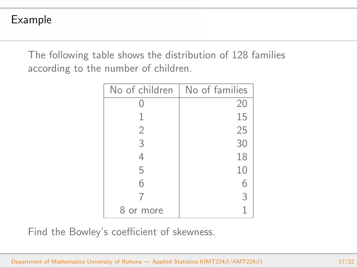## Example

The following table shows the distribution of 128 families according to the number of children.

| No of children | No of families |
|----------------|----------------|
|                | 20             |
| 1              | 15             |
| $\overline{2}$ | 25             |
| 3              | 30             |
| 4              | 18             |
| 5              | 10             |
| 6              | 6              |
| 7              | 3              |
| 8<br>or more   | 1              |

Find the Bowley's coefficient of skewness.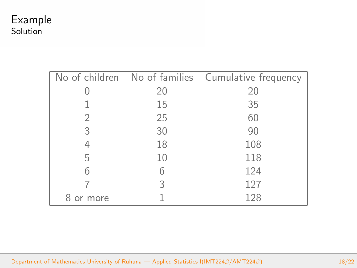|         |    | No of children   No of families   Cumulative frequency |  |  |
|---------|----|--------------------------------------------------------|--|--|
|         | 20 | 20                                                     |  |  |
|         | 15 | 35                                                     |  |  |
|         | 25 | 60                                                     |  |  |
| 3       | 30 | 90                                                     |  |  |
|         | 18 | 108                                                    |  |  |
| 5       | 10 | 118                                                    |  |  |
| 6       | 6  | 124                                                    |  |  |
|         | 3  | 127                                                    |  |  |
| or more |    | 128                                                    |  |  |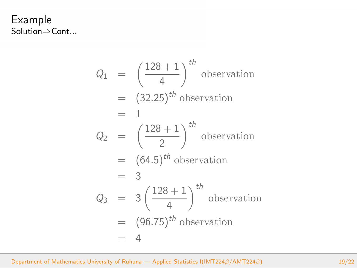Example Solution*⇒*Cont...

$$
Q_1 = \left(\frac{128+1}{4}\right)^{th} \text{ observation}
$$
  
\n
$$
= (32.25)^{th} \text{ observation}
$$
  
\n
$$
= 1
$$
  
\n
$$
Q_2 = \left(\frac{128+1}{2}\right)^{th} \text{ observation}
$$
  
\n
$$
= (64.5)^{th} \text{ observation}
$$
  
\n
$$
= 3
$$
  
\n
$$
Q_3 = 3\left(\frac{128+1}{4}\right)^{th} \text{ observation}
$$
  
\n
$$
= (96.75)^{th} \text{ observation}
$$
  
\n
$$
= 4
$$

Department of Mathematics University of Ruhuna — Applied Statistics I(IMT224*β*/AMT224*β*) 19/22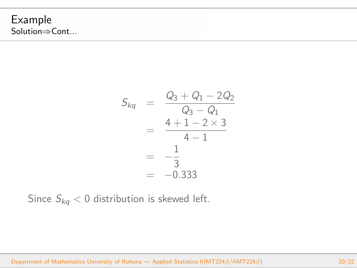Example Solution*⇒*Cont...

$$
S_{kq} = \frac{Q_3 + Q_1 - 2Q_2}{Q_3 - Q_1}
$$
  
= 
$$
\frac{4 + 1 - 2 \times 3}{4 - 1}
$$
  
= 
$$
-\frac{1}{3}
$$
  
= -0.333

Since  $S_{kq}$  < 0 distribution is skewed left.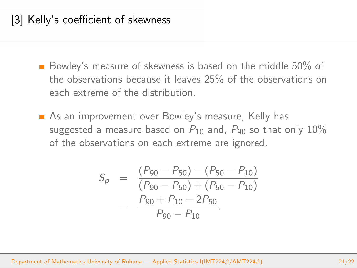## [3] Kelly's coefficient of skewness

- Bowley's measure of skewness is based on the middle 50% of the observations because it leaves 25% of the observations on each extreme of the distribution.
- As an improvement over Bowley's measure, Kelly has suggested a measure based on  $P_{10}$  and,  $P_{90}$  so that only  $10\%$ of the observations on each extreme are ignored.

$$
S_p = \frac{(P_{90} - P_{50}) - (P_{50} - P_{10})}{(P_{90} - P_{50}) + (P_{50} - P_{10})}
$$
  
= 
$$
\frac{P_{90} + P_{10} - 2P_{50}}{P_{90} - P_{10}}.
$$